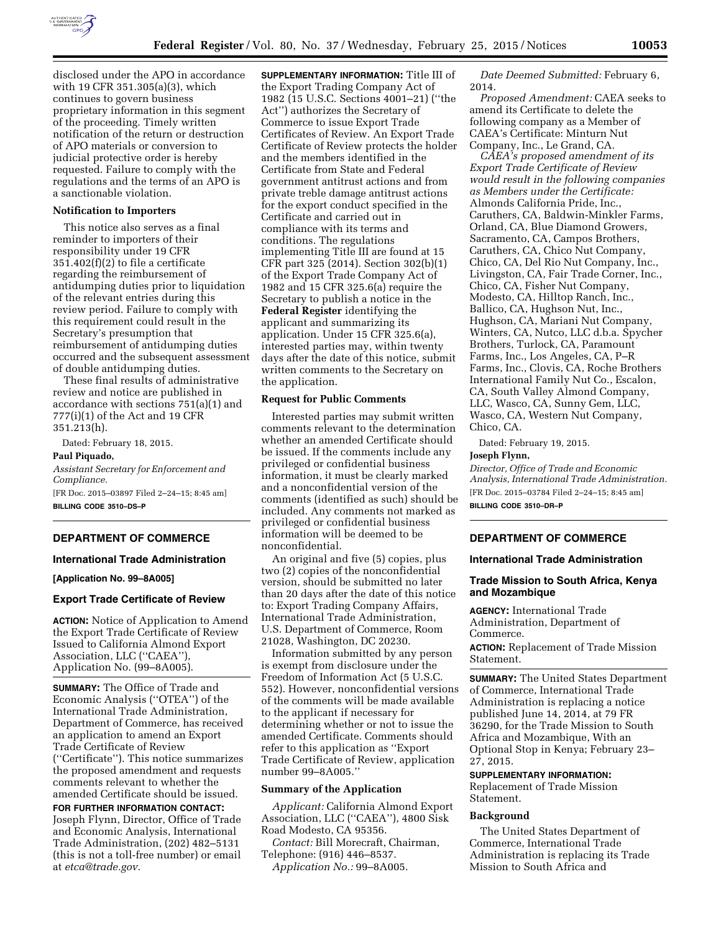

disclosed under the APO in accordance with 19 CFR 351.305(a)(3), which continues to govern business proprietary information in this segment of the proceeding. Timely written notification of the return or destruction of APO materials or conversion to judicial protective order is hereby requested. Failure to comply with the regulations and the terms of an APO is a sanctionable violation.

### **Notification to Importers**

This notice also serves as a final reminder to importers of their responsibility under 19 CFR 351.402(f)(2) to file a certificate regarding the reimbursement of antidumping duties prior to liquidation of the relevant entries during this review period. Failure to comply with this requirement could result in the Secretary's presumption that reimbursement of antidumping duties occurred and the subsequent assessment of double antidumping duties.

These final results of administrative review and notice are published in accordance with sections 751(a)(1) and 777(i)(1) of the Act and 19 CFR 351.213(h).

Dated: February 18, 2015.

#### **Paul Piquado,**

*Assistant Secretary for Enforcement and Compliance.*  [FR Doc. 2015–03897 Filed 2–24–15; 8:45 am] **BILLING CODE 3510–DS–P** 

## **DEPARTMENT OF COMMERCE**

#### **International Trade Administration**

**[Application No. 99–8A005]** 

#### **Export Trade Certificate of Review**

**ACTION:** Notice of Application to Amend the Export Trade Certificate of Review Issued to California Almond Export Association, LLC (''CAEA''), Application No. (99–8A005).

**SUMMARY:** The Office of Trade and Economic Analysis (''OTEA'') of the International Trade Administration, Department of Commerce, has received an application to amend an Export Trade Certificate of Review (''Certificate''). This notice summarizes the proposed amendment and requests comments relevant to whether the amended Certificate should be issued.

# **FOR FURTHER INFORMATION CONTACT:**  Joseph Flynn, Director, Office of Trade and Economic Analysis, International Trade Administration, (202) 482–5131 (this is not a toll-free number) or email at *[etca@trade.gov.](mailto:etca@trade.gov)*

**SUPPLEMENTARY INFORMATION:** Title III of the Export Trading Company Act of 1982 (15 U.S.C. Sections 4001–21) (''the Act'') authorizes the Secretary of Commerce to issue Export Trade Certificates of Review. An Export Trade Certificate of Review protects the holder and the members identified in the Certificate from State and Federal government antitrust actions and from private treble damage antitrust actions for the export conduct specified in the Certificate and carried out in compliance with its terms and conditions. The regulations implementing Title III are found at 15 CFR part 325 (2014). Section 302(b)(1) of the Export Trade Company Act of 1982 and 15 CFR 325.6(a) require the Secretary to publish a notice in the **Federal Register** identifying the applicant and summarizing its application. Under 15 CFR 325.6(a), interested parties may, within twenty days after the date of this notice, submit written comments to the Secretary on the application.

## **Request for Public Comments**

Interested parties may submit written comments relevant to the determination whether an amended Certificate should be issued. If the comments include any privileged or confidential business information, it must be clearly marked and a nonconfidential version of the comments (identified as such) should be included. Any comments not marked as privileged or confidential business information will be deemed to be nonconfidential.

An original and five (5) copies, plus two (2) copies of the nonconfidential version, should be submitted no later than 20 days after the date of this notice to: Export Trading Company Affairs, International Trade Administration, U.S. Department of Commerce, Room 21028, Washington, DC 20230.

Information submitted by any person is exempt from disclosure under the Freedom of Information Act (5 U.S.C. 552). However, nonconfidential versions of the comments will be made available to the applicant if necessary for determining whether or not to issue the amended Certificate. Comments should refer to this application as ''Export Trade Certificate of Review, application number 99–8A005.''

## **Summary of the Application**

*Applicant:* California Almond Export Association, LLC (''CAEA''), 4800 Sisk Road Modesto, CA 95356.

*Contact:* Bill Morecraft, Chairman, Telephone: (916) 446–8537.

*Application No.:* 99–8A005.

*Date Deemed Submitted:* February 6, 2014.

*Proposed Amendment:* CAEA seeks to amend its Certificate to delete the following company as a Member of CAEA's Certificate: Minturn Nut Company, Inc., Le Grand, CA.

*CAEA's proposed amendment of its Export Trade Certificate of Review would result in the following companies as Members under the Certificate:*  Almonds California Pride, Inc., Caruthers, CA, Baldwin-Minkler Farms, Orland, CA, Blue Diamond Growers, Sacramento, CA, Campos Brothers, Caruthers, CA, Chico Nut Company, Chico, CA, Del Rio Nut Company, Inc., Livingston, CA, Fair Trade Corner, Inc., Chico, CA, Fisher Nut Company, Modesto, CA, Hilltop Ranch, Inc., Ballico, CA, Hughson Nut, Inc., Hughson, CA, Mariani Nut Company, Winters, CA, Nutco, LLC d.b.a. Spycher Brothers, Turlock, CA, Paramount Farms, Inc., Los Angeles, CA, P–R Farms, Inc., Clovis, CA, Roche Brothers International Family Nut Co., Escalon, CA, South Valley Almond Company, LLC, Wasco, CA, Sunny Gem, LLC, Wasco, CA, Western Nut Company, Chico, CA.

Dated: February 19, 2015.

### **Joseph Flynn,**

*Director, Office of Trade and Economic Analysis, International Trade Administration.*  [FR Doc. 2015–03784 Filed 2–24–15; 8:45 am]

**BILLING CODE 3510–DR–P** 

# **DEPARTMENT OF COMMERCE**

### **International Trade Administration**

# **Trade Mission to South Africa, Kenya and Mozambique**

**AGENCY:** International Trade Administration, Department of Commerce.

**ACTION:** Replacement of Trade Mission Statement.

**SUMMARY:** The United States Department of Commerce, International Trade Administration is replacing a notice published June 14, 2014, at 79 FR 36290, for the Trade Mission to South Africa and Mozambique, With an Optional Stop in Kenya; February 23– 27, 2015.

#### **SUPPLEMENTARY INFORMATION:**

Replacement of Trade Mission Statement.

### **Background**

The United States Department of Commerce, International Trade Administration is replacing its Trade Mission to South Africa and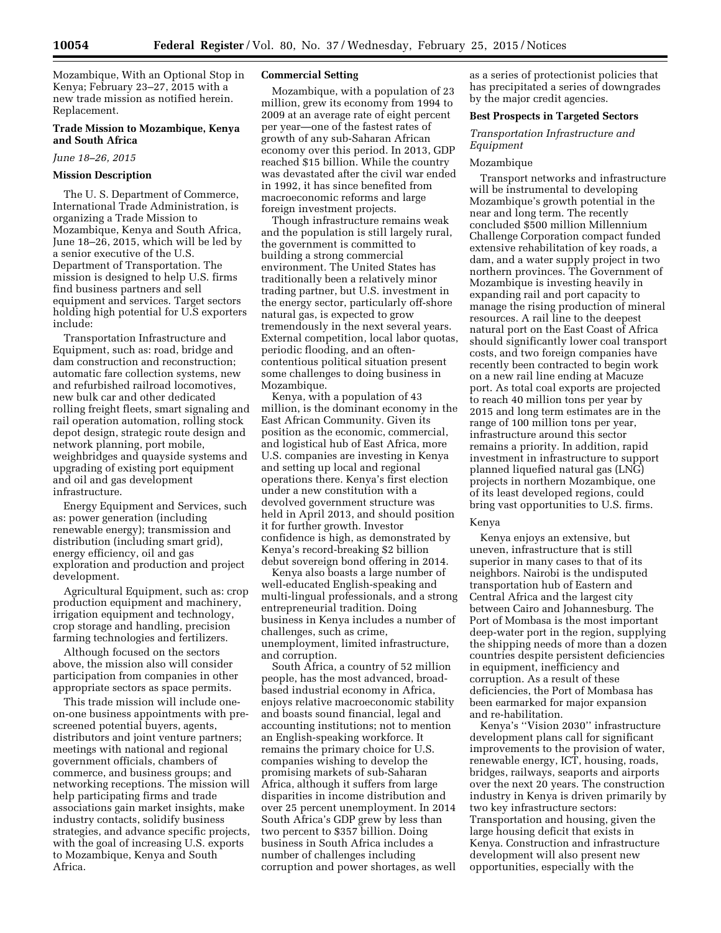Mozambique, With an Optional Stop in Kenya; February 23–27, 2015 with a new trade mission as notified herein. Replacement.

# **Trade Mission to Mozambique, Kenya and South Africa**

*June 18–26, 2015* 

#### **Mission Description**

The U. S. Department of Commerce, International Trade Administration, is organizing a Trade Mission to Mozambique, Kenya and South Africa, June 18–26, 2015, which will be led by a senior executive of the U.S. Department of Transportation. The mission is designed to help U.S. firms find business partners and sell equipment and services. Target sectors holding high potential for U.S exporters include:

Transportation Infrastructure and Equipment, such as: road, bridge and dam construction and reconstruction; automatic fare collection systems, new and refurbished railroad locomotives, new bulk car and other dedicated rolling freight fleets, smart signaling and rail operation automation, rolling stock depot design, strategic route design and network planning, port mobile, weighbridges and quayside systems and upgrading of existing port equipment and oil and gas development infrastructure.

Energy Equipment and Services, such as: power generation (including renewable energy); transmission and distribution (including smart grid), energy efficiency, oil and gas exploration and production and project development.

Agricultural Equipment, such as: crop production equipment and machinery, irrigation equipment and technology, crop storage and handling, precision farming technologies and fertilizers.

Although focused on the sectors above, the mission also will consider participation from companies in other appropriate sectors as space permits.

This trade mission will include oneon-one business appointments with prescreened potential buyers, agents, distributors and joint venture partners; meetings with national and regional government officials, chambers of commerce, and business groups; and networking receptions. The mission will help participating firms and trade associations gain market insights, make industry contacts, solidify business strategies, and advance specific projects, with the goal of increasing U.S. exports to Mozambique, Kenya and South Africa.

### **Commercial Setting**

Mozambique, with a population of 23 million, grew its economy from 1994 to 2009 at an average rate of eight percent per year—one of the fastest rates of growth of any sub-Saharan African economy over this period. In 2013, GDP reached \$15 billion. While the country was devastated after the civil war ended in 1992, it has since benefited from macroeconomic reforms and large foreign investment projects.

Though infrastructure remains weak and the population is still largely rural, the government is committed to building a strong commercial environment. The United States has traditionally been a relatively minor trading partner, but U.S. investment in the energy sector, particularly off-shore natural gas, is expected to grow tremendously in the next several years. External competition, local labor quotas, periodic flooding, and an oftencontentious political situation present some challenges to doing business in Mozambique.

Kenya, with a population of 43 million, is the dominant economy in the East African Community. Given its position as the economic, commercial, and logistical hub of East Africa, more U.S. companies are investing in Kenya and setting up local and regional operations there. Kenya's first election under a new constitution with a devolved government structure was held in April 2013, and should position it for further growth. Investor confidence is high, as demonstrated by Kenya's record-breaking \$2 billion debut sovereign bond offering in 2014.

Kenya also boasts a large number of well-educated English-speaking and multi-lingual professionals, and a strong entrepreneurial tradition. Doing business in Kenya includes a number of challenges, such as crime, unemployment, limited infrastructure, and corruption.

South Africa, a country of 52 million people, has the most advanced, broadbased industrial economy in Africa, enjoys relative macroeconomic stability and boasts sound financial, legal and accounting institutions; not to mention an English-speaking workforce. It remains the primary choice for U.S. companies wishing to develop the promising markets of sub-Saharan Africa, although it suffers from large disparities in income distribution and over 25 percent unemployment. In 2014 South Africa's GDP grew by less than two percent to \$357 billion. Doing business in South Africa includes a number of challenges including corruption and power shortages, as well

as a series of protectionist policies that has precipitated a series of downgrades by the major credit agencies.

### **Best Prospects in Targeted Sectors**

*Transportation Infrastructure and Equipment* 

#### Mozambique

Transport networks and infrastructure will be instrumental to developing Mozambique's growth potential in the near and long term. The recently concluded \$500 million Millennium Challenge Corporation compact funded extensive rehabilitation of key roads, a dam, and a water supply project in two northern provinces. The Government of Mozambique is investing heavily in expanding rail and port capacity to manage the rising production of mineral resources. A rail line to the deepest natural port on the East Coast of Africa should significantly lower coal transport costs, and two foreign companies have recently been contracted to begin work on a new rail line ending at Macuze port. As total coal exports are projected to reach 40 million tons per year by 2015 and long term estimates are in the range of 100 million tons per year, infrastructure around this sector remains a priority. In addition, rapid investment in infrastructure to support planned liquefied natural gas (LNG) projects in northern Mozambique, one of its least developed regions, could bring vast opportunities to U.S. firms.

# Kenya

Kenya enjoys an extensive, but uneven, infrastructure that is still superior in many cases to that of its neighbors. Nairobi is the undisputed transportation hub of Eastern and Central Africa and the largest city between Cairo and Johannesburg. The Port of Mombasa is the most important deep-water port in the region, supplying the shipping needs of more than a dozen countries despite persistent deficiencies in equipment, inefficiency and corruption. As a result of these deficiencies, the Port of Mombasa has been earmarked for major expansion and re-habilitation.

Kenya's ''Vision 2030'' infrastructure development plans call for significant improvements to the provision of water, renewable energy, ICT, housing, roads, bridges, railways, seaports and airports over the next 20 years. The construction industry in Kenya is driven primarily by two key infrastructure sectors: Transportation and housing, given the large housing deficit that exists in Kenya. Construction and infrastructure development will also present new opportunities, especially with the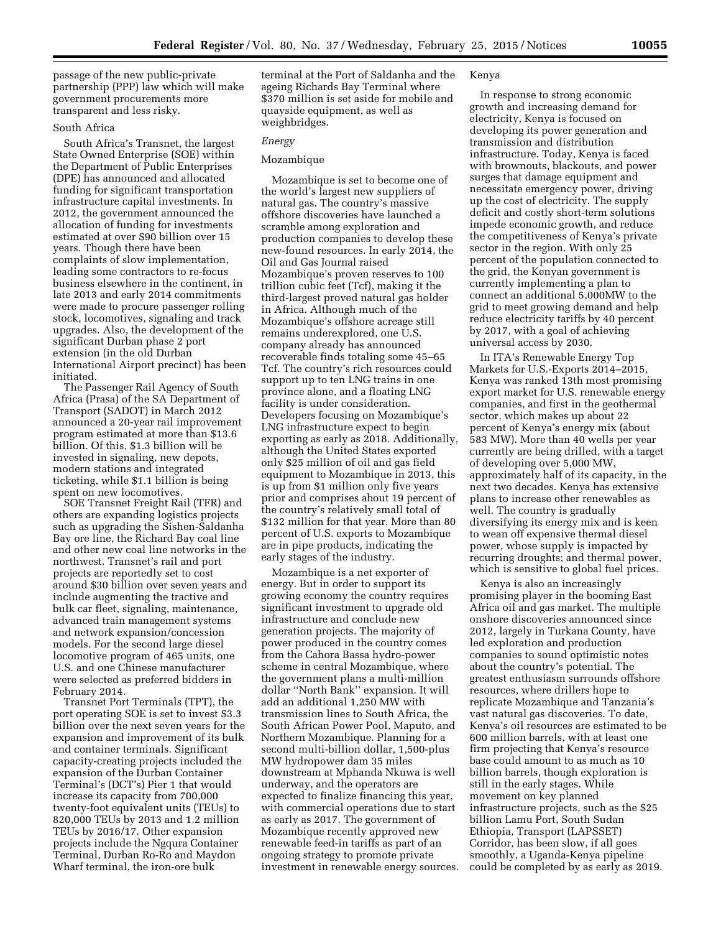passage of the new public-private partnership (PPP) law which will make government procurements more transparent and less risky.

## South Africa

South Africa's Transnet, the largest State Owned Enterprise (SOE) within the Department of Public Enterprises (DPE) has announced and allocated funding for significant transportation infrastructure capital investments. In 2012, the government announced the allocation of funding for investments estimated at over \$90 billion over 15 years. Though there have been complaints of slow implementation, leading some contractors to re-focus business elsewhere in the continent, in late 2013 and early 2014 commitments were made to procure passenger rolling stock, locomotives, signaling and track upgrades. Also, the development of the significant Durban phase 2 port extension (in the old Durban International Airport precinct) has been initiated.

The Passenger Rail Agency of South Africa (Prasa) of the SA Department of Transport (SADOT) in March 2012 announced a 20-year rail improvement program estimated at more than \$13.6 billion. Of this, \$1.3 billion will be invested in signaling, new depots, modern stations and integrated ticketing, while \$1.1 billion is being spent on new locomotives.

SOE Transnet Freight Rail (TFR) and others are expanding logistics projects such as upgrading the Sishen-Saldanha Bay ore line, the Richard Bay coal line and other new coal line networks in the northwest. Transnet's rail and port projects are reportedly set to cost around \$30 billion over seven years and include augmenting the tractive and bulk car fleet, signaling, maintenance, advanced train management systems and network expansion/concession models. For the second large diesel locomotive program of 465 units, one U.S. and one Chinese manufacturer were selected as preferred bidders in February 2014.

Transnet Port Terminals (TPT), the port operating SOE is set to invest \$3.3 billion over the next seven years for the expansion and improvement of its bulk and container terminals. Significant capacity-creating projects included the expansion of the Durban Container Terminal's (DCT's) Pier 1 that would increase its capacity from 700,000 twenty-foot equivalent units (TEUs) to 820,000 TEUs by 2013 and 1.2 million TEUs by 2016/17. Other expansion projects include the Ngqura Container Terminal, Durban Ro-Ro and Maydon Wharf terminal, the iron-ore bulk

terminal at the Port of Saldanha and the ageing Richards Bay Terminal where \$370 million is set aside for mobile and quayside equipment, as well as weighbridges.

### *Energy*

# Mozambique

Mozambique is set to become one of the world's largest new suppliers of natural gas. The country's massive offshore discoveries have launched a scramble among exploration and production companies to develop these new-found resources. In early 2014, the Oil and Gas Journal raised Mozambique's proven reserves to 100 trillion cubic feet (Tcf), making it the third-largest proved natural gas holder in Africa. Although much of the Mozambique's offshore acreage still remains underexplored, one U.S. company already has announced recoverable finds totaling some 45–65 Tcf. The country's rich resources could support up to ten LNG trains in one province alone, and a floating LNG facility is under consideration. Developers focusing on Mozambique's LNG infrastructure expect to begin exporting as early as 2018. Additionally, although the United States exported only \$25 million of oil and gas field equipment to Mozambique in 2013, this is up from \$1 million only five years prior and comprises about 19 percent of the country's relatively small total of \$132 million for that year. More than 80 percent of U.S. exports to Mozambique are in pipe products, indicating the early stages of the industry.

Mozambique is a net exporter of energy. But in order to support its growing economy the country requires significant investment to upgrade old infrastructure and conclude new generation projects. The majority of power produced in the country comes from the Cahora Bassa hydro-power scheme in central Mozambique, where the government plans a multi-million dollar ''North Bank'' expansion. It will add an additional 1,250 MW with transmission lines to South Africa, the South African Power Pool, Maputo, and Northern Mozambique. Planning for a second multi-billion dollar, 1,500-plus MW hydropower dam 35 miles downstream at Mphanda Nkuwa is well underway, and the operators are expected to finalize financing this year, with commercial operations due to start as early as 2017. The government of Mozambique recently approved new renewable feed-in tariffs as part of an ongoing strategy to promote private investment in renewable energy sources.

### Kenya

In response to strong economic growth and increasing demand for electricity, Kenya is focused on developing its power generation and transmission and distribution infrastructure. Today, Kenya is faced with brownouts, blackouts, and power surges that damage equipment and necessitate emergency power, driving up the cost of electricity. The supply deficit and costly short-term solutions impede economic growth, and reduce the competitiveness of Kenya's private sector in the region. With only 25 percent of the population connected to the grid, the Kenyan government is currently implementing a plan to connect an additional 5,000MW to the grid to meet growing demand and help reduce electricity tariffs by 40 percent by 2017, with a goal of achieving universal access by 2030.

In ITA's Renewable Energy Top Markets for U.S.-Exports 2014–2015, Kenya was ranked 13th most promising export market for U.S. renewable energy companies, and first in the geothermal sector, which makes up about 22 percent of Kenya's energy mix (about 583 MW). More than 40 wells per year currently are being drilled, with a target of developing over 5,000 MW, approximately half of its capacity, in the next two decades. Kenya has extensive plans to increase other renewables as well. The country is gradually diversifying its energy mix and is keen to wean off expensive thermal diesel power, whose supply is impacted by recurring droughts; and thermal power, which is sensitive to global fuel prices.

Kenya is also an increasingly promising player in the booming East Africa oil and gas market. The multiple onshore discoveries announced since 2012, largely in Turkana County, have led exploration and production companies to sound optimistic notes about the country's potential. The greatest enthusiasm surrounds offshore resources, where drillers hope to replicate Mozambique and Tanzania's vast natural gas discoveries. To date, Kenya's oil resources are estimated to be 600 million barrels, with at least one firm projecting that Kenya's resource base could amount to as much as 10 billion barrels, though exploration is still in the early stages. While movement on key planned infrastructure projects, such as the \$25 billion Lamu Port, South Sudan Ethiopia, Transport (LAPSSET) Corridor, has been slow, if all goes smoothly, a Uganda-Kenya pipeline could be completed by as early as 2019.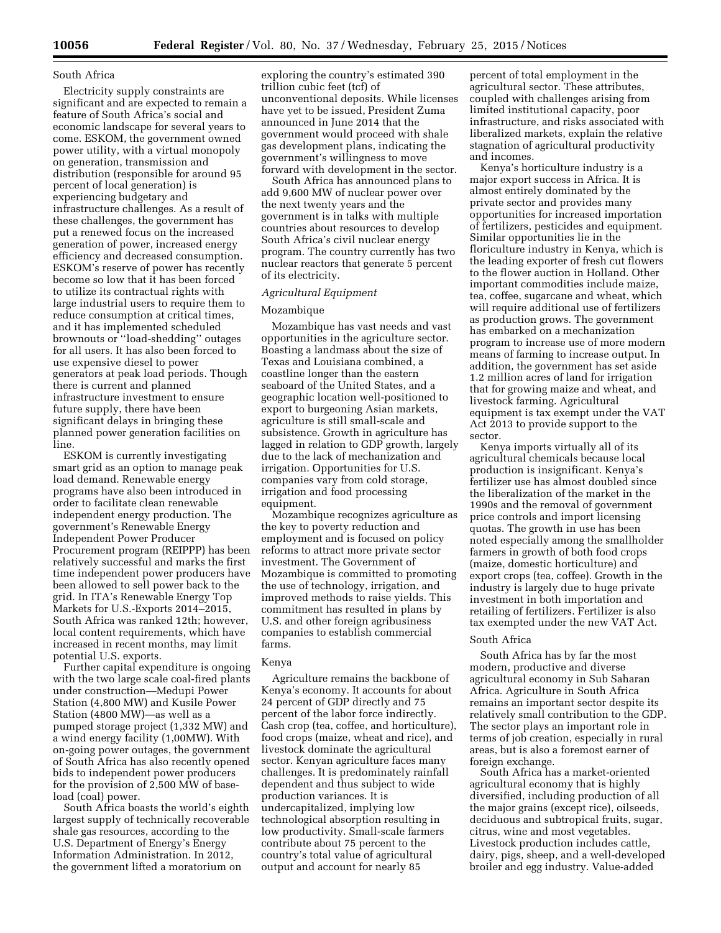# South Africa

Electricity supply constraints are significant and are expected to remain a feature of South Africa's social and economic landscape for several years to come. ESKOM, the government owned power utility, with a virtual monopoly on generation, transmission and distribution (responsible for around 95 percent of local generation) is experiencing budgetary and infrastructure challenges. As a result of these challenges, the government has put a renewed focus on the increased generation of power, increased energy efficiency and decreased consumption. ESKOM's reserve of power has recently become so low that it has been forced to utilize its contractual rights with large industrial users to require them to reduce consumption at critical times, and it has implemented scheduled brownouts or ''load-shedding'' outages for all users. It has also been forced to use expensive diesel to power generators at peak load periods. Though there is current and planned infrastructure investment to ensure future supply, there have been significant delays in bringing these planned power generation facilities on line.

ESKOM is currently investigating smart grid as an option to manage peak load demand. Renewable energy programs have also been introduced in order to facilitate clean renewable independent energy production. The government's Renewable Energy Independent Power Producer Procurement program (REIPPP) has been relatively successful and marks the first time independent power producers have been allowed to sell power back to the grid. In ITA's Renewable Energy Top Markets for U.S.-Exports 2014–2015, South Africa was ranked 12th; however, local content requirements, which have increased in recent months, may limit potential U.S. exports.

Further capital expenditure is ongoing with the two large scale coal-fired plants under construction—Medupi Power Station (4,800 MW) and Kusile Power Station (4800 MW)—as well as a pumped storage project (1,332 MW) and a wind energy facility (1,00MW). With on-going power outages, the government of South Africa has also recently opened bids to independent power producers for the provision of 2,500 MW of baseload (coal) power.

South Africa boasts the world's eighth largest supply of technically recoverable shale gas resources, according to the U.S. Department of Energy's Energy Information Administration. In 2012, the government lifted a moratorium on

exploring the country's estimated 390 trillion cubic feet (tcf) of unconventional deposits. While licenses have yet to be issued, President Zuma announced in June 2014 that the government would proceed with shale gas development plans, indicating the government's willingness to move forward with development in the sector.

South Africa has announced plans to add 9,600 MW of nuclear power over the next twenty years and the government is in talks with multiple countries about resources to develop South Africa's civil nuclear energy program. The country currently has two nuclear reactors that generate 5 percent of its electricity.

### *Agricultural Equipment*

### Mozambique

Mozambique has vast needs and vast opportunities in the agriculture sector. Boasting a landmass about the size of Texas and Louisiana combined, a coastline longer than the eastern seaboard of the United States, and a geographic location well-positioned to export to burgeoning Asian markets, agriculture is still small-scale and subsistence. Growth in agriculture has lagged in relation to GDP growth, largely due to the lack of mechanization and irrigation. Opportunities for U.S. companies vary from cold storage, irrigation and food processing equipment.

Mozambique recognizes agriculture as the key to poverty reduction and employment and is focused on policy reforms to attract more private sector investment. The Government of Mozambique is committed to promoting the use of technology, irrigation, and improved methods to raise yields. This commitment has resulted in plans by U.S. and other foreign agribusiness companies to establish commercial farms.

### Kenya

Agriculture remains the backbone of Kenya's economy. It accounts for about 24 percent of GDP directly and 75 percent of the labor force indirectly. Cash crop (tea, coffee, and horticulture), food crops (maize, wheat and rice), and livestock dominate the agricultural sector. Kenyan agriculture faces many challenges. It is predominately rainfall dependent and thus subject to wide production variances. It is undercapitalized, implying low technological absorption resulting in low productivity. Small-scale farmers contribute about 75 percent to the country's total value of agricultural output and account for nearly 85

percent of total employment in the agricultural sector. These attributes, coupled with challenges arising from limited institutional capacity, poor infrastructure, and risks associated with liberalized markets, explain the relative stagnation of agricultural productivity and incomes.

Kenya's horticulture industry is a major export success in Africa. It is almost entirely dominated by the private sector and provides many opportunities for increased importation of fertilizers, pesticides and equipment. Similar opportunities lie in the floriculture industry in Kenya, which is the leading exporter of fresh cut flowers to the flower auction in Holland. Other important commodities include maize, tea, coffee, sugarcane and wheat, which will require additional use of fertilizers as production grows. The government has embarked on a mechanization program to increase use of more modern means of farming to increase output. In addition, the government has set aside 1.2 million acres of land for irrigation that for growing maize and wheat, and livestock farming. Agricultural equipment is tax exempt under the VAT Act 2013 to provide support to the sector.

Kenya imports virtually all of its agricultural chemicals because local production is insignificant. Kenya's fertilizer use has almost doubled since the liberalization of the market in the 1990s and the removal of government price controls and import licensing quotas. The growth in use has been noted especially among the smallholder farmers in growth of both food crops (maize, domestic horticulture) and export crops (tea, coffee). Growth in the industry is largely due to huge private investment in both importation and retailing of fertilizers. Fertilizer is also tax exempted under the new VAT Act.

## South Africa

South Africa has by far the most modern, productive and diverse agricultural economy in Sub Saharan Africa. Agriculture in South Africa remains an important sector despite its relatively small contribution to the GDP. The sector plays an important role in terms of job creation, especially in rural areas, but is also a foremost earner of foreign exchange.

South Africa has a market-oriented agricultural economy that is highly diversified, including production of all the major grains (except rice), oilseeds, deciduous and subtropical fruits, sugar, citrus, wine and most vegetables. Livestock production includes cattle, dairy, pigs, sheep, and a well-developed broiler and egg industry. Value-added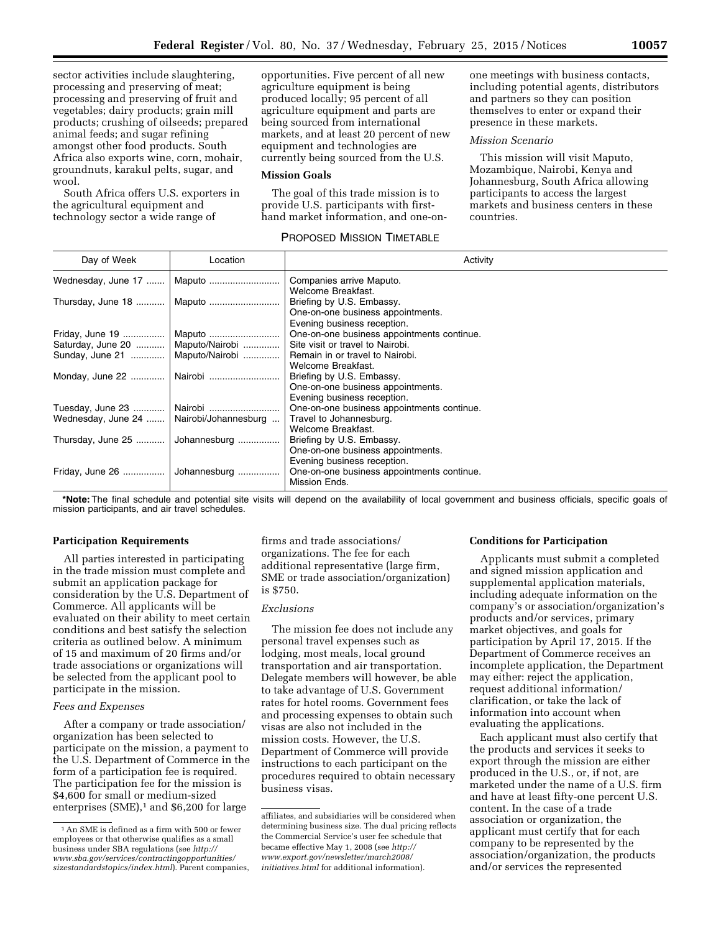sector activities include slaughtering, processing and preserving of meat; processing and preserving of fruit and vegetables; dairy products; grain mill products; crushing of oilseeds; prepared animal feeds; and sugar refining amongst other food products. South Africa also exports wine, corn, mohair, groundnuts, karakul pelts, sugar, and wool.

South Africa offers U.S. exporters in the agricultural equipment and technology sector a wide range of

opportunities. Five percent of all new agriculture equipment is being produced locally; 95 percent of all agriculture equipment and parts are being sourced from international markets, and at least 20 percent of new equipment and technologies are currently being sourced from the U.S.

## **Mission Goals**

The goal of this trade mission is to provide U.S. participants with firsthand market information, and one-on-

# PROPOSED MISSION TIMETABLE

one meetings with business contacts, including potential agents, distributors and partners so they can position themselves to enter or expand their presence in these markets.

## *Mission Scenario*

This mission will visit Maputo, Mozambique, Nairobi, Kenya and Johannesburg, South Africa allowing participants to access the largest markets and business centers in these countries.

| Day of Week                                | Location     | Activity                                                                |
|--------------------------------------------|--------------|-------------------------------------------------------------------------|
| Wednesday, June 17                         | Maputo       | Companies arrive Maputo.                                                |
|                                            |              | Welcome Breakfast.                                                      |
|                                            |              | Briefing by U.S. Embassy.                                               |
|                                            |              | One-on-one business appointments.                                       |
|                                            |              | Evening business reception.                                             |
| Friday, June 19                            | Maputo       | One-on-one business appointments continue.                              |
|                                            |              | Saturday, June 20    Maputo/Nairobi    Site visit or travel to Nairobi. |
| Sunday, June 21    Maputo/Nairobi          |              | Remain in or travel to Nairobi.                                         |
|                                            |              | Welcome Breakfast.                                                      |
|                                            |              | Briefing by U.S. Embassy.                                               |
|                                            |              | One-on-one business appointments.                                       |
|                                            |              | Evening business reception.                                             |
| Tuesday, June 23    Nairobi                |              | One-on-one business appointments continue.                              |
| Wednesday, June 24    Nairobi/Johannesburg |              | Travel to Johannesburg.                                                 |
|                                            |              | Welcome Breakfast.                                                      |
| Thursday, June 25                          | Johannesburg | Briefing by U.S. Embassy.                                               |
|                                            |              | One-on-one business appointments.                                       |
|                                            |              | Evening business reception.                                             |
| Friday, June 26    Johannesburg            |              | One-on-one business appointments continue.                              |
|                                            |              | Mission Ends.                                                           |
|                                            |              |                                                                         |

**\*Note:** The final schedule and potential site visits will depend on the availability of local government and business officials, specific goals of mission participants, and air travel schedules.

### **Participation Requirements**

All parties interested in participating in the trade mission must complete and submit an application package for consideration by the U.S. Department of Commerce. All applicants will be evaluated on their ability to meet certain conditions and best satisfy the selection criteria as outlined below. A minimum of 15 and maximum of 20 firms and/or trade associations or organizations will be selected from the applicant pool to participate in the mission.

## *Fees and Expenses*

After a company or trade association/ organization has been selected to participate on the mission, a payment to the U.S. Department of Commerce in the form of a participation fee is required. The participation fee for the mission is \$4,600 for small or medium-sized enterprises  $(SME)^1$  and \$6,200 for large

firms and trade associations/ organizations. The fee for each additional representative (large firm, SME or trade association/organization) is \$750.

### *Exclusions*

The mission fee does not include any personal travel expenses such as lodging, most meals, local ground transportation and air transportation. Delegate members will however, be able to take advantage of U.S. Government rates for hotel rooms. Government fees and processing expenses to obtain such visas are also not included in the mission costs. However, the U.S. Department of Commerce will provide instructions to each participant on the procedures required to obtain necessary business visas.

### **Conditions for Participation**

Applicants must submit a completed and signed mission application and supplemental application materials, including adequate information on the company's or association/organization's products and/or services, primary market objectives, and goals for participation by April 17, 2015. If the Department of Commerce receives an incomplete application, the Department may either: reject the application, request additional information/ clarification, or take the lack of information into account when evaluating the applications.

Each applicant must also certify that the products and services it seeks to export through the mission are either produced in the U.S., or, if not, are marketed under the name of a U.S. firm and have at least fifty-one percent U.S. content. In the case of a trade association or organization, the applicant must certify that for each company to be represented by the association/organization, the products and/or services the represented

 $^{\rm 1}\!$  An SME is defined as a firm with 500 or fewer employees or that otherwise qualifies as a small business under SBA regulations (see *[http://](http://www.sba.gov/services/contractingopportunities/sizestandardstopics/index.html) [www.sba.gov/services/contractingopportunities/](http://www.sba.gov/services/contractingopportunities/sizestandardstopics/index.html) [sizestandardstopics/index.html](http://www.sba.gov/services/contractingopportunities/sizestandardstopics/index.html)*). Parent companies,

affiliates, and subsidiaries will be considered when determining business size. The dual pricing reflects the Commercial Service's user fee schedule that became effective May 1, 2008 (see *[http://](http://www.export.gov/newsletter/march2008/initiatives.html) [www.export.gov/newsletter/march2008/](http://www.export.gov/newsletter/march2008/initiatives.html) [initiatives.html](http://www.export.gov/newsletter/march2008/initiatives.html)* for additional information).